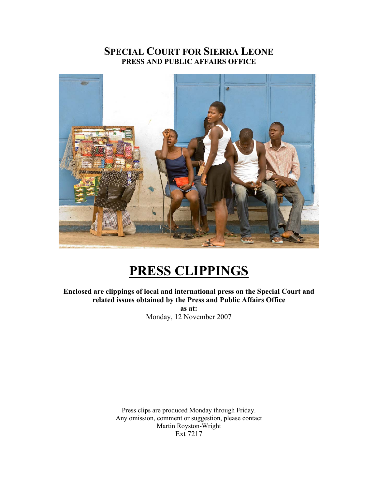# **SPECIAL COURT FOR SIERRA LEONE PRESS AND PUBLIC AFFAIRS OFFICE**



# **PRESS CLIPPINGS**

**Enclosed are clippings of local and international press on the Special Court and related issues obtained by the Press and Public Affairs Office as at:**  Monday, 12 November 2007

> Press clips are produced Monday through Friday. Any omission, comment or suggestion, please contact Martin Royston-Wright Ext 7217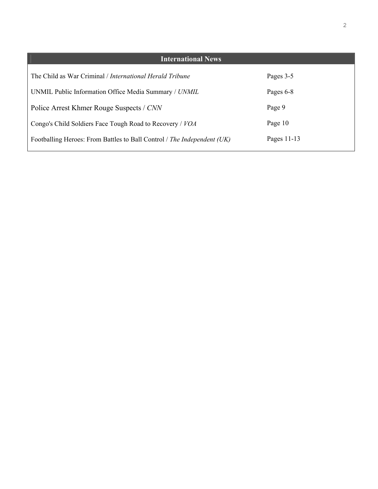| <b>International News</b>                                               |             |
|-------------------------------------------------------------------------|-------------|
| The Child as War Criminal / <i>International Herald Tribune</i>         | Pages 3-5   |
| UNMIL Public Information Office Media Summary / UNMIL                   | Pages 6-8   |
| Police Arrest Khmer Rouge Suspects / CNN                                | Page 9      |
| Congo's Child Soldiers Face Tough Road to Recovery / VOA                | Page 10     |
| Footballing Heroes: From Battles to Ball Control / The Independent (UK) | Pages 11-13 |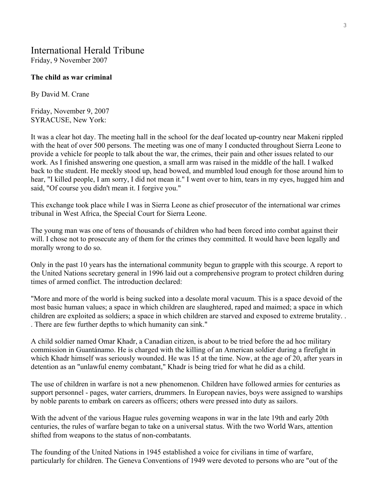# International Herald Tribune

Friday, 9 November 2007

#### **The child as war criminal**

By David M. Crane

Friday, November 9, 2007 SYRACUSE, New York:

It was a clear hot day. The meeting hall in the school for the deaf located up-country near Makeni rippled with the heat of over 500 persons. The meeting was one of many I conducted throughout Sierra Leone to provide a vehicle for people to talk about the war, the crimes, their pain and other issues related to our work. As I finished answering one question, a small arm was raised in the middle of the hall. I walked back to the student. He meekly stood up, head bowed, and mumbled loud enough for those around him to hear, "I killed people, I am sorry, I did not mean it." I went over to him, tears in my eyes, hugged him and said, "Of course you didn't mean it. I forgive you."

This exchange took place while I was in Sierra Leone as chief prosecutor of the international war crimes tribunal in West Africa, the Special Court for Sierra Leone.

The young man was one of tens of thousands of children who had been forced into combat against their will. I chose not to prosecute any of them for the crimes they committed. It would have been legally and morally wrong to do so.

Only in the past 10 years has the international community begun to grapple with this scourge. A report to the United Nations secretary general in 1996 laid out a comprehensive program to protect children during times of armed conflict. The introduction declared:

"More and more of the world is being sucked into a desolate moral vacuum. This is a space devoid of the most basic human values; a space in which children are slaughtered, raped and maimed; a space in which children are exploited as soldiers; a space in which children are starved and exposed to extreme brutality. . . There are few further depths to which humanity can sink."

A child soldier named Omar Khadr, a Canadian citizen, is about to be tried before the ad hoc military commission in Guantánamo. He is charged with the killing of an American soldier during a firefight in which Khadr himself was seriously wounded. He was 15 at the time. Now, at the age of 20, after years in detention as an "unlawful enemy combatant," Khadr is being tried for what he did as a child.

The use of children in warfare is not a new phenomenon. Children have followed armies for centuries as support personnel - pages, water carriers, drummers. In European navies, boys were assigned to warships by noble parents to embark on careers as officers; others were pressed into duty as sailors.

With the advent of the various Hague rules governing weapons in war in the late 19th and early 20th centuries, the rules of warfare began to take on a universal status. With the two World Wars, attention shifted from weapons to the status of non-combatants.

The founding of the United Nations in 1945 established a voice for civilians in time of warfare, particularly for children. The Geneva Conventions of 1949 were devoted to persons who are "out of the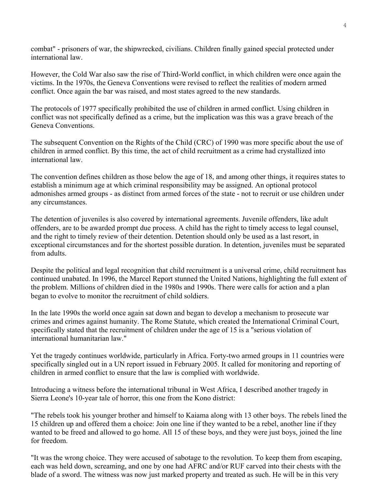combat" - prisoners of war, the shipwrecked, civilians. Children finally gained special protected under international law.

However, the Cold War also saw the rise of Third-World conflict, in which children were once again the victims. In the 1970s, the Geneva Conventions were revised to reflect the realities of modern armed conflict. Once again the bar was raised, and most states agreed to the new standards.

The protocols of 1977 specifically prohibited the use of children in armed conflict. Using children in conflict was not specifically defined as a crime, but the implication was this was a grave breach of the Geneva Conventions.

The subsequent Convention on the Rights of the Child (CRC) of 1990 was more specific about the use of children in armed conflict. By this time, the act of child recruitment as a crime had crystallized into international law.

The convention defines children as those below the age of 18, and among other things, it requires states to establish a minimum age at which criminal responsibility may be assigned. An optional protocol admonishes armed groups - as distinct from armed forces of the state - not to recruit or use children under any circumstances.

The detention of juveniles is also covered by international agreements. Juvenile offenders, like adult offenders, are to be awarded prompt due process. A child has the right to timely access to legal counsel, and the right to timely review of their detention. Detention should only be used as a last resort, in exceptional circumstances and for the shortest possible duration. In detention, juveniles must be separated from adults.

Despite the political and legal recognition that child recruitment is a universal crime, child recruitment has continued unabated. In 1996, the Marcel Report stunned the United Nations, highlighting the full extent of the problem. Millions of children died in the 1980s and 1990s. There were calls for action and a plan began to evolve to monitor the recruitment of child soldiers.

In the late 1990s the world once again sat down and began to develop a mechanism to prosecute war crimes and crimes against humanity. The Rome Statute, which created the International Criminal Court, specifically stated that the recruitment of children under the age of 15 is a "serious violation of international humanitarian law."

Yet the tragedy continues worldwide, particularly in Africa. Forty-two armed groups in 11 countries were specifically singled out in a UN report issued in February 2005. It called for monitoring and reporting of children in armed conflict to ensure that the law is complied with worldwide.

Introducing a witness before the international tribunal in West Africa, I described another tragedy in Sierra Leone's 10-year tale of horror, this one from the Kono district:

"The rebels took his younger brother and himself to Kaiama along with 13 other boys. The rebels lined the 15 children up and offered them a choice: Join one line if they wanted to be a rebel, another line if they wanted to be freed and allowed to go home. All 15 of these boys, and they were just boys, joined the line for freedom.

"It was the wrong choice. They were accused of sabotage to the revolution. To keep them from escaping, each was held down, screaming, and one by one had AFRC and/or RUF carved into their chests with the blade of a sword. The witness was now just marked property and treated as such. He will be in this very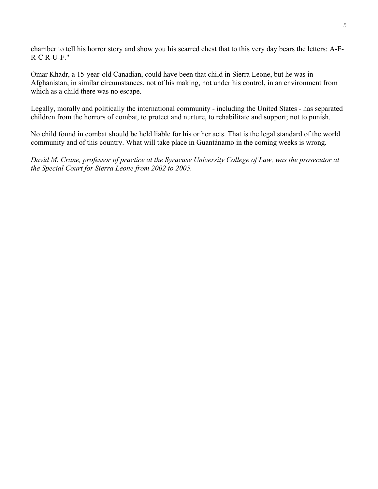chamber to tell his horror story and show you his scarred chest that to this very day bears the letters: A-F-R-C R-U-F."

Omar Khadr, a 15-year-old Canadian, could have been that child in Sierra Leone, but he was in Afghanistan, in similar circumstances, not of his making, not under his control, in an environment from which as a child there was no escape.

Legally, morally and politically the international community - including the United States - has separated children from the horrors of combat, to protect and nurture, to rehabilitate and support; not to punish.

No child found in combat should be held liable for his or her acts. That is the legal standard of the world community and of this country. What will take place in Guantánamo in the coming weeks is wrong.

*David M. Crane, professor of practice at the Syracuse University College of Law, was the prosecutor at the Special Court for Sierra Leone from 2002 to 2005.*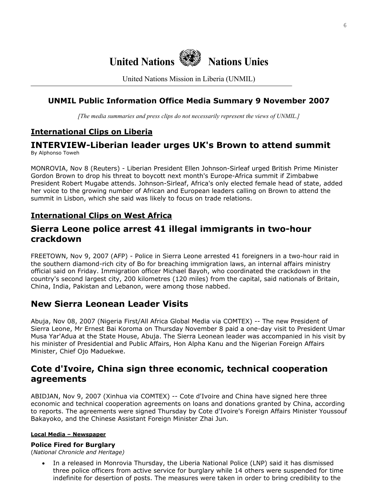

United Nations Mission in Liberia (UNMIL)

### **UNMIL Public Information Office Media Summary 9 November 2007**

*[The media summaries and press clips do not necessarily represent the views of UNMIL.]*

## **International Clips on Liberia**

#### **INTERVIEW-Liberian leader urges UK's Brown to attend summit**  By Alphonso Toweh

MONROVIA, Nov 8 (Reuters) - Liberian President Ellen Johnson-Sirleaf urged British Prime Minister Gordon Brown to drop his threat to boycott next month's Europe-Africa summit if Zimbabwe President Robert Mugabe attends. Johnson-Sirleaf, Africa's only elected female head of state, added her voice to the growing number of African and European leaders calling on Brown to attend the summit in Lisbon, which she said was likely to focus on trade relations.

### **International Clips on West Africa**

### **Sierra Leone police arrest 41 illegal immigrants in two-hour crackdown**

FREETOWN, Nov 9, 2007 (AFP) - Police in Sierra Leone arrested 41 foreigners in a two-hour raid in the southern diamond-rich city of Bo for breaching immigration laws, an internal affairs ministry official said on Friday. Immigration officer Michael Bayoh, who coordinated the crackdown in the country's second largest city, 200 kilometres (120 miles) from the capital, said nationals of Britain, China, India, Pakistan and Lebanon, were among those nabbed.

# **New Sierra Leonean Leader Visits**

Abuja, Nov 08, 2007 (Nigeria First/All Africa Global Media via COMTEX) -- The new President of Sierra Leone, Mr Ernest Bai Koroma on Thursday November 8 paid a one-day visit to President Umar Musa Yar'Adua at the State House, Abuja. The Sierra Leonean leader was accompanied in his visit by his minister of Presidential and Public Affairs, Hon Alpha Kanu and the Nigerian Foreign Affairs Minister, Chief Ojo Maduekwe.

# **Cote d'Ivoire, China sign three economic, technical cooperation agreements**

ABIDJAN, Nov 9, 2007 (Xinhua via COMTEX) -- Cote d'Ivoire and China have signed here three economic and technical cooperation agreements on loans and donations granted by China, according to reports. The agreements were signed Thursday by Cote d'Ivoire's Foreign Affairs Minister Youssouf Bakayoko, and the Chinese Assistant Foreign Minister Zhai Jun.

#### **Local Media – Newspaper**

#### **Police Fired for Burglary**

(*National Chronicle and Heritage)* 

• In a released in Monrovia Thursday, the Liberia National Police (LNP) said it has dismissed three police officers from active service for burglary while 14 others were suspended for time indefinite for desertion of posts. The measures were taken in order to bring credibility to the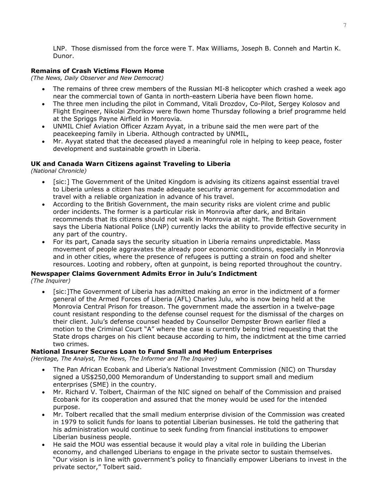LNP. Those dismissed from the force were T. Max Williams, Joseph B. Conneh and Martin K. Dunor.

#### **Remains of Crash Victims Flown Home**

*(The News, Daily Observer and New Democrat)* 

- The remains of three crew members of the Russian MI-8 helicopter which crashed a week ago near the commercial town of Ganta in north-eastern Liberia have been flown home.
- The three men including the pilot in Command, Vitali Drozdov, Co-Pilot, Sergey Kolosov and Flight Engineer, Nikolai Zhorikov were flown home Thursday following a brief programme held at the Spriggs Payne Airfield in Monrovia.
- UNMIL Chief Aviation Officer Azzam Ayyat, in a tribune said the men were part of the peacekeeping family in Liberia. Although contracted by UNMIL,
- Mr. Ayyat stated that the deceased played a meaningful role in helping to keep peace, foster development and sustainable growth in Liberia.

#### **UK and Canada Warn Citizens against Traveling to Liberia**

*(National Chronicle)* 

- [sic:] The Government of the United Kingdom is advising its citizens against essential travel to Liberia unless a citizen has made adequate security arrangement for accommodation and travel with a reliable organization in advance of his travel.
- According to the British Government, the main security risks are violent crime and public order incidents. The former is a particular risk in Monrovia after dark, and Britain recommends that its citizens should not walk in Monrovia at night. The British Government says the Liberia National Police (LNP) currently lacks the ability to provide effective security in any part of the country.
- For its part, Canada says the security situation in Liberia remains unpredictable. Mass movement of people aggravates the already poor economic conditions, especially in Monrovia and in other cities, where the presence of refugees is putting a strain on food and shelter resources. Looting and robbery, often at gunpoint, is being reported throughout the country.

#### **Newspaper Claims Government Admits Error in Julu's Indictment**  *(The Inquirer)*

• [sic:]The Government of Liberia has admitted making an error in the indictment of a former general of the Armed Forces of Liberia (AFL) Charles Julu, who is now being held at the Monrovia Central Prison for treason. The government made the assertion in a twelve-page count resistant responding to the defense counsel request for the dismissal of the charges on their client. Julu's defense counsel headed by Counsellor Dempster Brown earlier filed a motion to the Criminal Court "A" where the case is currently being tried requesting that the State drops charges on his client because according to him, the indictment at the time carried two crimes.

#### **National Insurer Secures Loan to Fund Small and Medium Enterprises**

*(Heritage, The Analyst, The News, The Informer and The Inquirer)* 

- The Pan African Ecobank and Liberia's National Investment Commission (NIC) on Thursday signed a US\$250,000 Memorandum of Understanding to support small and medium enterprises (SME) in the country.
- Mr. Richard V. Tolbert, Chairman of the NIC signed on behalf of the Commission and praised Ecobank for its cooperation and assured that the money would be used for the intended purpose.
- Mr. Tolbert recalled that the small medium enterprise division of the Commission was created in 1979 to solicit funds for loans to potential Liberian businesses. He told the gathering that his administration would continue to seek funding from financial institutions to empower Liberian business people.
- He said the MOU was essential because it would play a vital role in building the Liberian economy, and challenged Liberians to engage in the private sector to sustain themselves. "Our vision is in line with government's policy to financially empower Liberians to invest in the private sector," Tolbert said.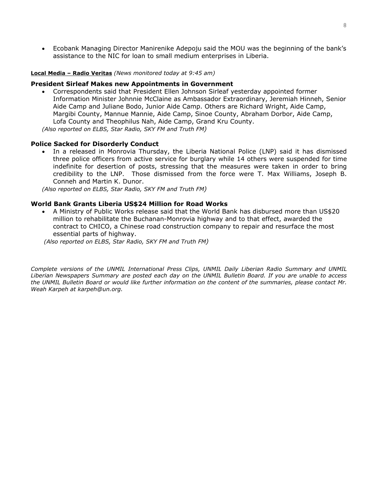• Ecobank Managing Director Manirenike Adepoju said the MOU was the beginning of the bank's assistance to the NIC for loan to small medium enterprises in Liberia.

#### **Local Media – Radio Veritas** *(News monitored today at 9:45 am)*

#### **President Sirleaf Makes new Appointments in Government**

• Correspondents said that President Ellen Johnson Sirleaf yesterday appointed former Information Minister Johnnie McClaine as Ambassador Extraordinary, Jeremiah Hinneh, Senior Aide Camp and Juliane Bodo, Junior Aide Camp. Others are Richard Wright, Aide Camp, Margibi County, Mannue Mannie, Aide Camp, Sinoe County, Abraham Dorbor, Aide Camp, Lofa County and Theophilus Nah, Aide Camp, Grand Kru County.

*(Also reported on ELBS, Star Radio, SKY FM and Truth FM)*

#### **Police Sacked for Disorderly Conduct**

• In a released in Monrovia Thursday, the Liberia National Police (LNP) said it has dismissed three police officers from active service for burglary while 14 others were suspended for time indefinite for desertion of posts, stressing that the measures were taken in order to bring credibility to the LNP. Those dismissed from the force were T. Max Williams, Joseph B. Conneh and Martin K. Dunor.

*(Also reported on ELBS, Star Radio, SKY FM and Truth FM)*

#### **World Bank Grants Liberia US\$24 Million for Road Works**

• A Ministry of Public Works release said that the World Bank has disbursed more than US\$20 million to rehabilitate the Buchanan-Monrovia highway and to that effect, awarded the contract to CHICO, a Chinese road construction company to repair and resurface the most essential parts of highway.

 *(Also reported on ELBS, Star Radio, SKY FM and Truth FM)*

*Complete versions of the UNMIL International Press Clips, UNMIL Daily Liberian Radio Summary and UNMIL Liberian Newspapers Summary are posted each day on the UNMIL Bulletin Board. If you are unable to access the UNMIL Bulletin Board or would like further information on the content of the summaries, please contact Mr. Weah Karpeh at karpeh@un.org.*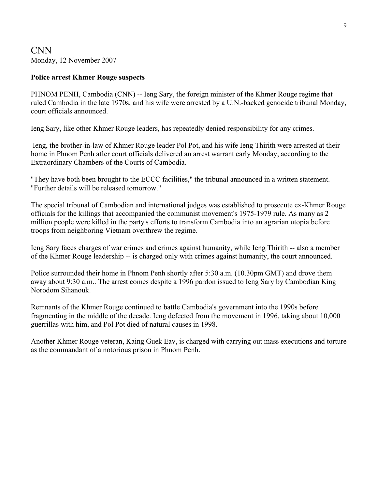### CNN Monday, 12 November 2007

### **Police arrest Khmer Rouge suspects**

PHNOM PENH, Cambodia (CNN) -- Ieng Sary, the foreign minister of the Khmer Rouge regime that ruled Cambodia in the late 1970s, and his wife were arrested by a U.N.-backed genocide tribunal Monday, court officials announced.

Ieng Sary, like other Khmer Rouge leaders, has repeatedly denied responsibility for any crimes.

 Ieng, the brother-in-law of Khmer Rouge leader Pol Pot, and his wife Ieng Thirith were arrested at their home in Phnom Penh after court officials delivered an arrest warrant early Monday, according to the Extraordinary Chambers of the Courts of Cambodia.

"They have both been brought to the ECCC facilities," the tribunal announced in a written statement. "Further details will be released tomorrow."

The special tribunal of Cambodian and international judges was established to prosecute ex-Khmer Rouge officials for the killings that accompanied the communist movement's 1975-1979 rule. As many as 2 million people were killed in the party's efforts to transform Cambodia into an agrarian utopia before troops from neighboring Vietnam overthrew the regime.

Ieng Sary faces charges of war crimes and crimes against humanity, while Ieng Thirith -- also a member of the Khmer Rouge leadership -- is charged only with crimes against humanity, the court announced.

Police surrounded their home in Phnom Penh shortly after 5:30 a.m. (10.30pm GMT) and drove them away about 9:30 a.m.. The arrest comes despite a 1996 pardon issued to Ieng Sary by Cambodian King Norodom Sihanouk.

Remnants of the Khmer Rouge continued to battle Cambodia's government into the 1990s before fragmenting in the middle of the decade. Ieng defected from the movement in 1996, taking about 10,000 guerrillas with him, and Pol Pot died of natural causes in 1998.

Another Khmer Rouge veteran, Kaing Guek Eav, is charged with carrying out mass executions and torture as the commandant of a notorious prison in Phnom Penh.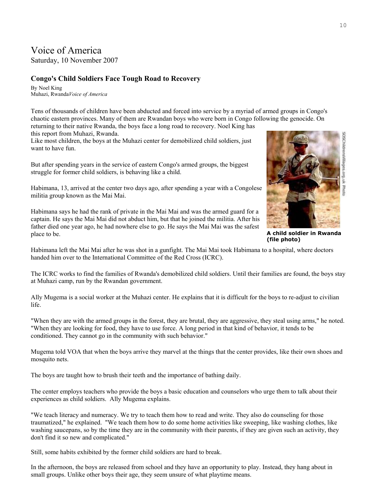# Voice of America

Saturday, 10 November 2007

### **Congo's Child Soldiers Face Tough Road to Recovery**

By Noel King Muhazi, Rwanda*Voice of America* 

Tens of thousands of children have been abducted and forced into service by a myriad of armed groups in Congo's chaotic eastern provinces. Many of them are Rwandan boys who were born in Congo following the genocide. On returning to their native Rwanda, the boys face a long road to recovery. Noel King has

this report from Muhazi, Rwanda.

Like most children, the boys at the Muhazi center for demobilized child soldiers, just want to have fun.

But after spending years in the service of eastern Congo's armed groups, the biggest struggle for former child soldiers, is behaving like a child.

Habimana, 13, arrived at the center two days ago, after spending a year with a Congolese militia group known as the Mai Mai.

Habimana says he had the rank of private in the Mai Mai and was the armed guard for a captain. He says the Mai Mai did not abduct him, but that he joined the militia. After his father died one year ago, he had nowhere else to go. He says the Mai Mai was the safest place to be.



Habimana left the Mai Mai after he was shot in a gunfight. The Mai Mai took Habimana to a hospital, where doctors handed him over to the International Committee of the Red Cross (ICRC).

The ICRC works to find the families of Rwanda's demobilized child soldiers. Until their families are found, the boys stay at Muhazi camp, run by the Rwandan government.

Ally Mugema is a social worker at the Muhazi center. He explains that it is difficult for the boys to re-adjust to civilian life.

"When they are with the armed groups in the forest, they are brutal, they are aggressive, they steal using arms," he noted. "When they are looking for food, they have to use force. A long period in that kind of behavior, it tends to be conditioned. They cannot go in the community with such behavior."

Mugema told VOA that when the boys arrive they marvel at the things that the center provides, like their own shoes and mosquito nets.

The boys are taught how to brush their teeth and the importance of bathing daily.

The center employs teachers who provide the boys a basic education and counselors who urge them to talk about their experiences as child soldiers. Ally Mugema explains.

"We teach literacy and numeracy. We try to teach them how to read and write. They also do counseling for those traumatized," he explained. "We teach them how to do some home activities like sweeping, like washing clothes, like washing saucepans, so by the time they are in the community with their parents, if they are given such an activity, they don't find it so new and complicated."

Still, some habits exhibited by the former child soldiers are hard to break.

In the afternoon, the boys are released from school and they have an opportunity to play. Instead, they hang about in small groups. Unlike other boys their age, they seem unsure of what playtime means.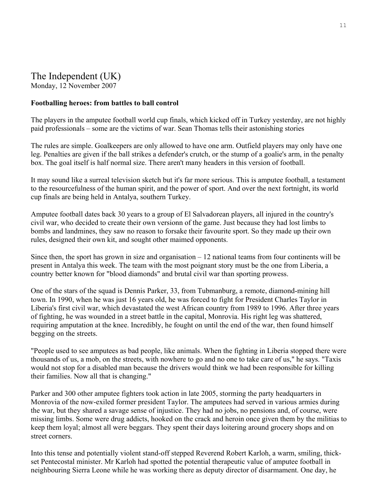# The Independent (UK)

Monday, 12 November 2007

### **Footballing heroes: from battles to ball control**

The players in the amputee football world cup finals, which kicked off in Turkey yesterday, are not highly paid professionals – some are the victims of war. Sean Thomas tells their astonishing stories

The rules are simple. Goalkeepers are only allowed to have one arm. Outfield players may only have one leg. Penalties are given if the ball strikes a defender's crutch, or the stump of a goalie's arm, in the penalty box. The goal itself is half normal size. There aren't many headers in this version of football.

It may sound like a surreal television sketch but it's far more serious. This is amputee football, a testament to the resourcefulness of the human spirit, and the power of sport. And over the next fortnight, its world cup finals are being held in Antalya, southern Turkey.

Amputee football dates back 30 years to a group of El Salvadorean players, all injured in the country's civil war, who decided to create their own versionn of the game. Just because they had lost limbs to bombs and landmines, they saw no reason to forsake their favourite sport. So they made up their own rules, designed their own kit, and sought other maimed opponents.

Since then, the sport has grown in size and organisation  $-12$  national teams from four continents will be present in Antalya this week. The team with the most poignant story must be the one from Liberia, a country better known for "blood diamonds" and brutal civil war than sporting prowess.

One of the stars of the squad is Dennis Parker, 33, from Tubmanburg, a remote, diamond-mining hill town. In 1990, when he was just 16 years old, he was forced to fight for President Charles Taylor in Liberia's first civil war, which devastated the west African country from 1989 to 1996. After three years of fighting, he was wounded in a street battle in the capital, Monrovia. His right leg was shattered, requiring amputation at the knee. Incredibly, he fought on until the end of the war, then found himself begging on the streets.

"People used to see amputees as bad people, like animals. When the fighting in Liberia stopped there were thousands of us, a mob, on the streets, with nowhere to go and no one to take care of us," he says. "Taxis would not stop for a disabled man because the drivers would think we had been responsible for killing their families. Now all that is changing."

Parker and 300 other amputee fighters took action in late 2005, storming the party headquarters in Monrovia of the now-exiled former president Taylor. The amputees had served in various armies during the war, but they shared a savage sense of injustice. They had no jobs, no pensions and, of course, were missing limbs. Some were drug addicts, hooked on the crack and heroin once given them by the militias to keep them loyal; almost all were beggars. They spent their days loitering around grocery shops and on street corners.

Into this tense and potentially violent stand-off stepped Reverend Robert Karloh, a warm, smiling, thickset Pentecostal minister. Mr Karloh had spotted the potential therapeutic value of amputee football in neighbouring Sierra Leone while he was working there as deputy director of disarmament. One day, he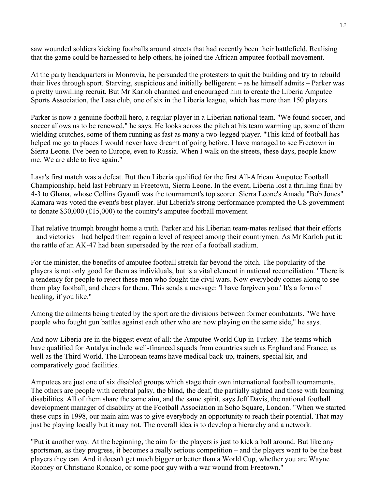saw wounded soldiers kicking footballs around streets that had recently been their battlefield. Realising that the game could be harnessed to help others, he joined the African amputee football movement.

At the party headquarters in Monrovia, he persuaded the protesters to quit the building and try to rebuild their lives through sport. Starving, suspicious and initially belligerent – as he himself admits – Parker was a pretty unwilling recruit. But Mr Karloh charmed and encouraged him to create the Liberia Amputee Sports Association, the Lasa club, one of six in the Liberia league, which has more than 150 players.

Parker is now a genuine football hero, a regular player in a Liberian national team. "We found soccer, and soccer allows us to be renewed," he says. He looks across the pitch at his team warming up, some of them wielding crutches, some of them running as fast as many a two-legged player. "This kind of football has helped me go to places I would never have dreamt of going before. I have managed to see Freetown in Sierra Leone. I've been to Europe, even to Russia. When I walk on the streets, these days, people know me. We are able to live again."

Lasa's first match was a defeat. But then Liberia qualified for the first All-African Amputee Football Championship, held last February in Freetown, Sierra Leone. In the event, Liberia lost a thrilling final by 4-3 to Ghana, whose Collins Gyamfi was the tournament's top scorer. Sierra Leone's Amadu "Bob Jones" Kamara was voted the event's best player. But Liberia's strong performance prompted the US government to donate \$30,000 (£15,000) to the country's amputee football movement.

That relative triumph brought home a truth. Parker and his Liberian team-mates realised that their efforts – and victories – had helped them regain a level of respect among their countrymen. As Mr Karloh put it: the rattle of an AK-47 had been superseded by the roar of a football stadium.

For the minister, the benefits of amputee football stretch far beyond the pitch. The popularity of the players is not only good for them as individuals, but is a vital element in national reconciliation. "There is a tendency for people to reject these men who fought the civil wars. Now everybody comes along to see them play football, and cheers for them. This sends a message: 'I have forgiven you.' It's a form of healing, if you like."

Among the ailments being treated by the sport are the divisions between former combatants. "We have people who fought gun battles against each other who are now playing on the same side," he says.

And now Liberia are in the biggest event of all: the Amputee World Cup in Turkey. The teams which have qualified for Antalya include well-financed squads from countries such as England and France, as well as the Third World. The European teams have medical back-up, trainers, special kit, and comparatively good facilities.

Amputees are just one of six disabled groups which stage their own international football tournaments. The others are people with cerebral palsy, the blind, the deaf, the partially sighted and those with learning disabilities. All of them share the same aim, and the same spirit, says Jeff Davis, the national football development manager of disability at the Football Association in Soho Square, London. "When we started these cups in 1998, our main aim was to give everybody an opportunity to reach their potential. That may just be playing locally but it may not. The overall idea is to develop a hierarchy and a network.

"Put it another way. At the beginning, the aim for the players is just to kick a ball around. But like any sportsman, as they progress, it becomes a really serious competition – and the players want to be the best players they can. And it doesn't get much bigger or better than a World Cup, whether you are Wayne Rooney or Christiano Ronaldo, or some poor guy with a war wound from Freetown."